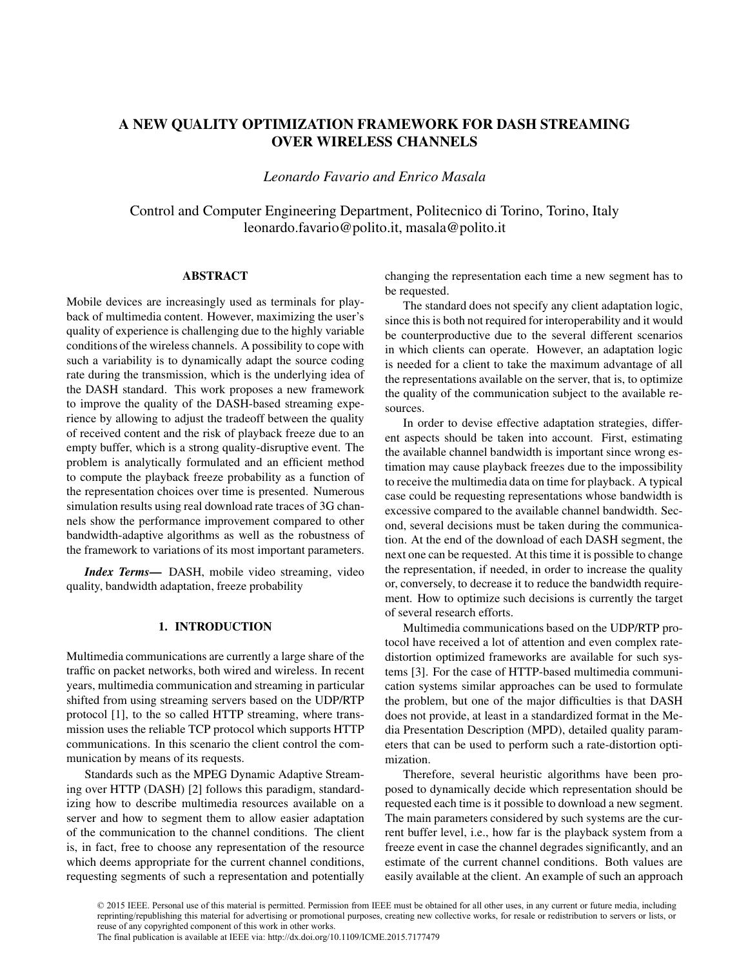# A NEW QUALITY OPTIMIZATION FRAMEWORK FOR DASH STREAMING OVER WIRELESS CHANNELS

*Leonardo Favario and Enrico Masala*

Control and Computer Engineering Department, Politecnico di Torino, Torino, Italy leonardo.favario@polito.it, masala@polito.it

# ABSTRACT

Mobile devices are increasingly used as terminals for playback of multimedia content. However, maximizing the user's quality of experience is challenging due to the highly variable conditions of the wireless channels. A possibility to cope with such a variability is to dynamically adapt the source coding rate during the transmission, which is the underlying idea of the DASH standard. This work proposes a new framework to improve the quality of the DASH-based streaming experience by allowing to adjust the tradeoff between the quality of received content and the risk of playback freeze due to an empty buffer, which is a strong quality-disruptive event. The problem is analytically formulated and an efficient method to compute the playback freeze probability as a function of the representation choices over time is presented. Numerous simulation results using real download rate traces of 3G channels show the performance improvement compared to other bandwidth-adaptive algorithms as well as the robustness of the framework to variations of its most important parameters.

*Index Terms*— DASH, mobile video streaming, video quality, bandwidth adaptation, freeze probability

# 1. INTRODUCTION

Multimedia communications are currently a large share of the traffic on packet networks, both wired and wireless. In recent years, multimedia communication and streaming in particular shifted from using streaming servers based on the UDP/RTP protocol [1], to the so called HTTP streaming, where transmission uses the reliable TCP protocol which supports HTTP communications. In this scenario the client control the communication by means of its requests.

Standards such as the MPEG Dynamic Adaptive Streaming over HTTP (DASH) [2] follows this paradigm, standardizing how to describe multimedia resources available on a server and how to segment them to allow easier adaptation of the communication to the channel conditions. The client is, in fact, free to choose any representation of the resource which deems appropriate for the current channel conditions, requesting segments of such a representation and potentially changing the representation each time a new segment has to be requested.

The standard does not specify any client adaptation logic, since this is both not required for interoperability and it would be counterproductive due to the several different scenarios in which clients can operate. However, an adaptation logic is needed for a client to take the maximum advantage of all the representations available on the server, that is, to optimize the quality of the communication subject to the available resources.

In order to devise effective adaptation strategies, different aspects should be taken into account. First, estimating the available channel bandwidth is important since wrong estimation may cause playback freezes due to the impossibility to receive the multimedia data on time for playback. A typical case could be requesting representations whose bandwidth is excessive compared to the available channel bandwidth. Second, several decisions must be taken during the communication. At the end of the download of each DASH segment, the next one can be requested. At this time it is possible to change the representation, if needed, in order to increase the quality or, conversely, to decrease it to reduce the bandwidth requirement. How to optimize such decisions is currently the target of several research efforts.

Multimedia communications based on the UDP/RTP protocol have received a lot of attention and even complex ratedistortion optimized frameworks are available for such systems [3]. For the case of HTTP-based multimedia communication systems similar approaches can be used to formulate the problem, but one of the major difficulties is that DASH does not provide, at least in a standardized format in the Media Presentation Description (MPD), detailed quality parameters that can be used to perform such a rate-distortion optimization.

Therefore, several heuristic algorithms have been proposed to dynamically decide which representation should be requested each time is it possible to download a new segment. The main parameters considered by such systems are the current buffer level, i.e., how far is the playback system from a freeze event in case the channel degrades significantly, and an estimate of the current channel conditions. Both values are easily available at the client. An example of such an approach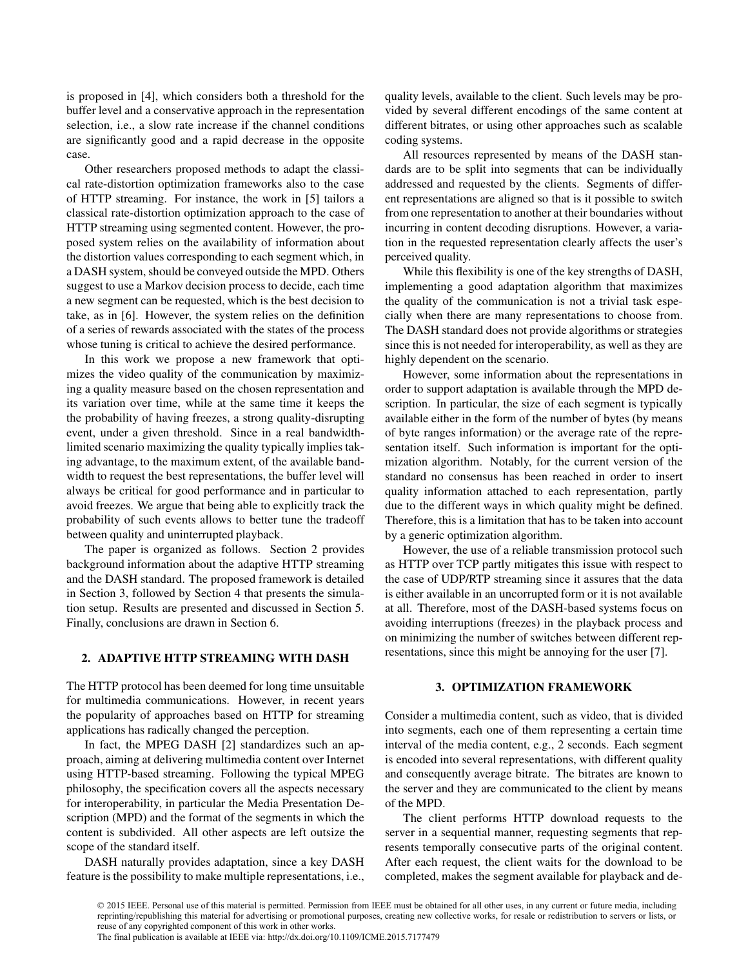is proposed in [4], which considers both a threshold for the buffer level and a conservative approach in the representation selection, i.e., a slow rate increase if the channel conditions are significantly good and a rapid decrease in the opposite case.

Other researchers proposed methods to adapt the classical rate-distortion optimization frameworks also to the case of HTTP streaming. For instance, the work in [5] tailors a classical rate-distortion optimization approach to the case of HTTP streaming using segmented content. However, the proposed system relies on the availability of information about the distortion values corresponding to each segment which, in a DASH system, should be conveyed outside the MPD. Others suggest to use a Markov decision process to decide, each time a new segment can be requested, which is the best decision to take, as in [6]. However, the system relies on the definition of a series of rewards associated with the states of the process whose tuning is critical to achieve the desired performance.

In this work we propose a new framework that optimizes the video quality of the communication by maximizing a quality measure based on the chosen representation and its variation over time, while at the same time it keeps the the probability of having freezes, a strong quality-disrupting event, under a given threshold. Since in a real bandwidthlimited scenario maximizing the quality typically implies taking advantage, to the maximum extent, of the available bandwidth to request the best representations, the buffer level will always be critical for good performance and in particular to avoid freezes. We argue that being able to explicitly track the probability of such events allows to better tune the tradeoff between quality and uninterrupted playback.

The paper is organized as follows. Section 2 provides background information about the adaptive HTTP streaming and the DASH standard. The proposed framework is detailed in Section 3, followed by Section 4 that presents the simulation setup. Results are presented and discussed in Section 5. Finally, conclusions are drawn in Section 6.

# 2. ADAPTIVE HTTP STREAMING WITH DASH

The HTTP protocol has been deemed for long time unsuitable for multimedia communications. However, in recent years the popularity of approaches based on HTTP for streaming applications has radically changed the perception.

In fact, the MPEG DASH [2] standardizes such an approach, aiming at delivering multimedia content over Internet using HTTP-based streaming. Following the typical MPEG philosophy, the specification covers all the aspects necessary for interoperability, in particular the Media Presentation Description (MPD) and the format of the segments in which the content is subdivided. All other aspects are left outsize the scope of the standard itself.

DASH naturally provides adaptation, since a key DASH feature is the possibility to make multiple representations, i.e., quality levels, available to the client. Such levels may be provided by several different encodings of the same content at different bitrates, or using other approaches such as scalable coding systems.

All resources represented by means of the DASH standards are to be split into segments that can be individually addressed and requested by the clients. Segments of different representations are aligned so that is it possible to switch from one representation to another at their boundaries without incurring in content decoding disruptions. However, a variation in the requested representation clearly affects the user's perceived quality.

While this flexibility is one of the key strengths of DASH, implementing a good adaptation algorithm that maximizes the quality of the communication is not a trivial task especially when there are many representations to choose from. The DASH standard does not provide algorithms or strategies since this is not needed for interoperability, as well as they are highly dependent on the scenario.

However, some information about the representations in order to support adaptation is available through the MPD description. In particular, the size of each segment is typically available either in the form of the number of bytes (by means of byte ranges information) or the average rate of the representation itself. Such information is important for the optimization algorithm. Notably, for the current version of the standard no consensus has been reached in order to insert quality information attached to each representation, partly due to the different ways in which quality might be defined. Therefore, this is a limitation that has to be taken into account by a generic optimization algorithm.

However, the use of a reliable transmission protocol such as HTTP over TCP partly mitigates this issue with respect to the case of UDP/RTP streaming since it assures that the data is either available in an uncorrupted form or it is not available at all. Therefore, most of the DASH-based systems focus on avoiding interruptions (freezes) in the playback process and on minimizing the number of switches between different representations, since this might be annoying for the user [7].

# 3. OPTIMIZATION FRAMEWORK

Consider a multimedia content, such as video, that is divided into segments, each one of them representing a certain time interval of the media content, e.g., 2 seconds. Each segment is encoded into several representations, with different quality and consequently average bitrate. The bitrates are known to the server and they are communicated to the client by means of the MPD.

The client performs HTTP download requests to the server in a sequential manner, requesting segments that represents temporally consecutive parts of the original content. After each request, the client waits for the download to be completed, makes the segment available for playback and de-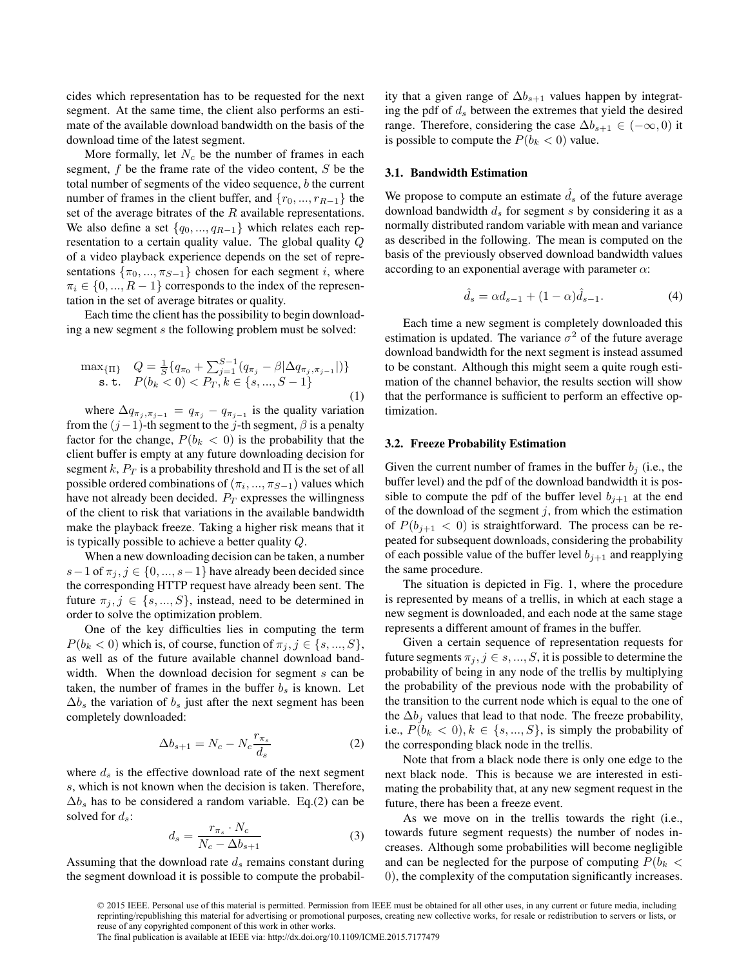cides which representation has to be requested for the next segment. At the same time, the client also performs an estimate of the available download bandwidth on the basis of the download time of the latest segment.

More formally, let  $N_c$  be the number of frames in each segment, f be the frame rate of the video content, S be the total number of segments of the video sequence, b the current number of frames in the client buffer, and  $\{r_0, ..., r_{R-1}\}\$  the set of the average bitrates of the  $R$  available representations. We also define a set  $\{q_0, ..., q_{R-1}\}$  which relates each representation to a certain quality value. The global quality Q of a video playback experience depends on the set of representations  $\{\pi_0, ..., \pi_{S-1}\}$  chosen for each segment i, where  $\pi_i \in \{0, ..., R-1\}$  corresponds to the index of the representation in the set of average bitrates or quality.

Each time the client has the possibility to begin downloading a new segment s the following problem must be solved:

$$
\max_{\{\Pi\}} Q = \frac{1}{S} \{ q_{\pi_0} + \sum_{j=1}^{S-1} (q_{\pi_j} - \beta | \Delta q_{\pi_j, \pi_{j-1}} |) \} \n\text{s.t. } P(b_k < 0) < P_T, k \in \{s, ..., S-1\}
$$
\n(1)

where  $\Delta q_{\pi_j, \pi_{j-1}} = q_{\pi_j} - q_{\pi_{j-1}}$  is the quality variation from the  $(j-1)$ -th segment to the j-th segment,  $\beta$  is a penalty factor for the change,  $P(b_k < 0)$  is the probability that the client buffer is empty at any future downloading decision for segment k,  $P_T$  is a probability threshold and  $\Pi$  is the set of all possible ordered combinations of  $(\pi_i, ..., \pi_{S-1})$  values which have not already been decided.  $P_T$  expresses the willingness of the client to risk that variations in the available bandwidth make the playback freeze. Taking a higher risk means that it is typically possible to achieve a better quality Q.

When a new downloading decision can be taken, a number s – 1 of  $\pi_j$ ,  $j \in \{0, ..., s-1\}$  have already been decided since the corresponding HTTP request have already been sent. The future  $\pi_j$ ,  $j \in \{s, ..., S\}$ , instead, need to be determined in order to solve the optimization problem.

One of the key difficulties lies in computing the term  $P(b_k < 0)$  which is, of course, function of  $\pi_j, j \in \{s, ..., S\},$ as well as of the future available channel download bandwidth. When the download decision for segment s can be taken, the number of frames in the buffer  $b_s$  is known. Let  $\Delta b_s$  the variation of  $b_s$  just after the next segment has been completely downloaded:

$$
\Delta b_{s+1} = N_c - N_c \frac{r_{\pi_s}}{d_s} \tag{2}
$$

where  $d_s$  is the effective download rate of the next segment s, which is not known when the decision is taken. Therefore,  $\Delta b_s$  has to be considered a random variable. Eq.(2) can be solved for  $d_s$ :

$$
d_s = \frac{r_{\pi_s} \cdot N_c}{N_c - \Delta b_{s+1}}\tag{3}
$$

Assuming that the download rate  $d_s$  remains constant during the segment download it is possible to compute the probability that a given range of  $\Delta b_{s+1}$  values happen by integrating the pdf of  $d_s$  between the extremes that yield the desired range. Therefore, considering the case  $\Delta b_{s+1} \in (-\infty, 0)$  it is possible to compute the  $P(b_k < 0)$  value.

## 3.1. Bandwidth Estimation

We propose to compute an estimate  $\hat{d}_s$  of the future average download bandwidth  $d_s$  for segment s by considering it as a normally distributed random variable with mean and variance as described in the following. The mean is computed on the basis of the previously observed download bandwidth values according to an exponential average with parameter  $\alpha$ :

$$
\hat{d}_s = \alpha d_{s-1} + (1 - \alpha)\hat{d}_{s-1}.
$$
 (4)

Each time a new segment is completely downloaded this estimation is updated. The variance  $\sigma^2$  of the future average download bandwidth for the next segment is instead assumed to be constant. Although this might seem a quite rough estimation of the channel behavior, the results section will show that the performance is sufficient to perform an effective optimization.

#### 3.2. Freeze Probability Estimation

Given the current number of frames in the buffer  $b_i$  (i.e., the buffer level) and the pdf of the download bandwidth it is possible to compute the pdf of the buffer level  $b_{i+1}$  at the end of the download of the segment  $j$ , from which the estimation of  $P(b_{i+1} < 0)$  is straightforward. The process can be repeated for subsequent downloads, considering the probability of each possible value of the buffer level  $b_{j+1}$  and reapplying the same procedure.

The situation is depicted in Fig. 1, where the procedure is represented by means of a trellis, in which at each stage a new segment is downloaded, and each node at the same stage represents a different amount of frames in the buffer.

Given a certain sequence of representation requests for future segments  $\pi_j, j \in s, ..., S$ , it is possible to determine the probability of being in any node of the trellis by multiplying the probability of the previous node with the probability of the transition to the current node which is equal to the one of the  $\Delta b_j$  values that lead to that node. The freeze probability, i.e.,  $P(b_k < 0), k \in \{s, ..., S\}$ , is simply the probability of the corresponding black node in the trellis.

Note that from a black node there is only one edge to the next black node. This is because we are interested in estimating the probability that, at any new segment request in the future, there has been a freeze event.

As we move on in the trellis towards the right (i.e., towards future segment requests) the number of nodes increases. Although some probabilities will become negligible and can be neglected for the purpose of computing  $P(b_k <$ 0), the complexity of the computation significantly increases.

<sup>© 2015</sup> IEEE. Personal use of this material is permitted. Permission from IEEE must be obtained for all other uses, in any current or future media, including reprinting/republishing this material for advertising or promotional purposes, creating new collective works, for resale or redistribution to servers or lists, or reuse of any copyrighted component of this work in other works. The final publication is available at IEEE via: http://dx.doi.org/10.1109/ICME.2015.7177479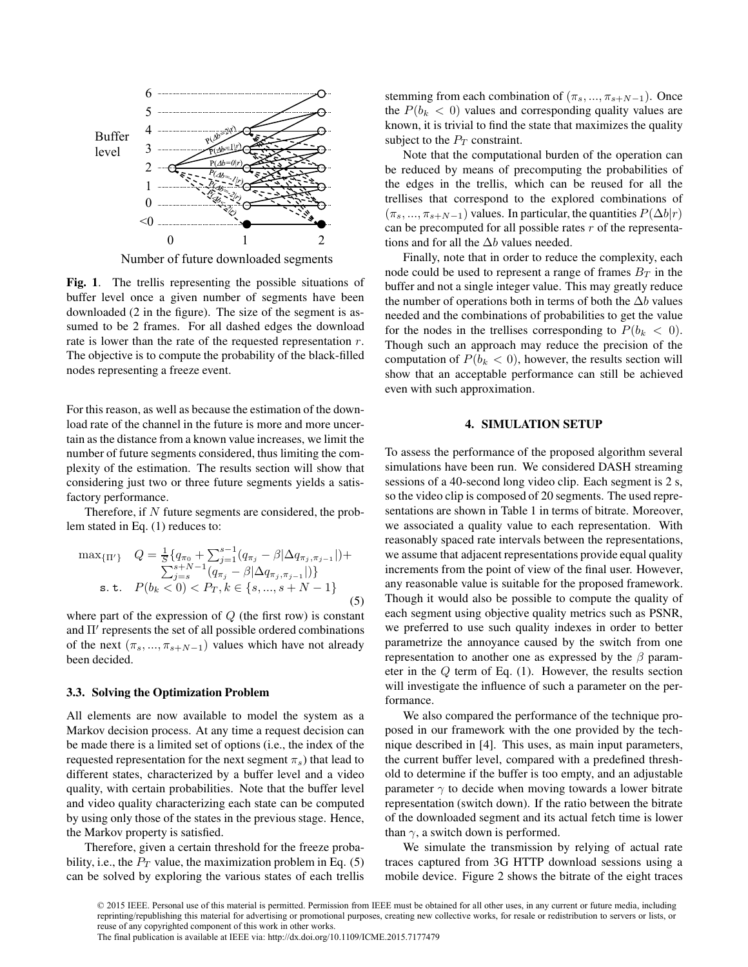

Fig. 1. The trellis representing the possible situations of buffer level once a given number of segments have been downloaded (2 in the figure). The size of the segment is assumed to be 2 frames. For all dashed edges the download rate is lower than the rate of the requested representation  $r$ . The objective is to compute the probability of the black-filled nodes representing a freeze event.

For this reason, as well as because the estimation of the download rate of the channel in the future is more and more uncertain as the distance from a known value increases, we limit the number of future segments considered, thus limiting the complexity of the estimation. The results section will show that considering just two or three future segments yields a satisfactory performance.

Therefore, if  $N$  future segments are considered, the problem stated in Eq. (1) reduces to:

$$
\max_{\{\Pi'\}} Q = \frac{1}{S} \{ q_{\pi_0} + \sum_{j=1}^{s-1} (q_{\pi_j} - \beta | \Delta q_{\pi_j, \pi_{j-1}} |) +
$$
  
\n
$$
\sum_{j=s}^{s+N-1} (q_{\pi_j} - \beta | \Delta q_{\pi_j, \pi_{j-1}} |)
$$
  
\ns. t.  $P(b_k < 0) < P_T, k \in \{s, ..., s+N-1\}$  (5)

where part of the expression of  $Q$  (the first row) is constant and Π′ represents the set of all possible ordered combinations of the next  $(\pi_s, ..., \pi_{s+N-1})$  values which have not already been decided.

## 3.3. Solving the Optimization Problem

All elements are now available to model the system as a Markov decision process. At any time a request decision can be made there is a limited set of options (i.e., the index of the requested representation for the next segment  $\pi_s$ ) that lead to different states, characterized by a buffer level and a video quality, with certain probabilities. Note that the buffer level and video quality characterizing each state can be computed by using only those of the states in the previous stage. Hence, the Markov property is satisfied.

Therefore, given a certain threshold for the freeze probability, i.e., the  $P_T$  value, the maximization problem in Eq. (5) can be solved by exploring the various states of each trellis stemming from each combination of  $(\pi_s, ..., \pi_{s+N-1})$ . Once the  $P(b_k < 0)$  values and corresponding quality values are known, it is trivial to find the state that maximizes the quality subject to the  $P_T$  constraint.

Note that the computational burden of the operation can be reduced by means of precomputing the probabilities of the edges in the trellis, which can be reused for all the trellises that correspond to the explored combinations of  $(\pi_s, ..., \pi_{s+N-1})$  values. In particular, the quantities  $P(\Delta b|r)$ can be precomputed for all possible rates  $r$  of the representations and for all the  $\Delta b$  values needed.

Finally, note that in order to reduce the complexity, each node could be used to represent a range of frames  $B_T$  in the buffer and not a single integer value. This may greatly reduce the number of operations both in terms of both the  $\Delta b$  values needed and the combinations of probabilities to get the value for the nodes in the trellises corresponding to  $P(b_k < 0)$ . Though such an approach may reduce the precision of the computation of  $P(b_k < 0)$ , however, the results section will show that an acceptable performance can still be achieved even with such approximation.

#### 4. SIMULATION SETUP

To assess the performance of the proposed algorithm several simulations have been run. We considered DASH streaming sessions of a 40-second long video clip. Each segment is 2 s, so the video clip is composed of 20 segments. The used representations are shown in Table 1 in terms of bitrate. Moreover, we associated a quality value to each representation. With reasonably spaced rate intervals between the representations, we assume that adjacent representations provide equal quality increments from the point of view of the final user. However, any reasonable value is suitable for the proposed framework. Though it would also be possible to compute the quality of each segment using objective quality metrics such as PSNR, we preferred to use such quality indexes in order to better parametrize the annoyance caused by the switch from one representation to another one as expressed by the  $\beta$  parameter in the Q term of Eq. (1). However, the results section will investigate the influence of such a parameter on the performance.

We also compared the performance of the technique proposed in our framework with the one provided by the technique described in [4]. This uses, as main input parameters, the current buffer level, compared with a predefined threshold to determine if the buffer is too empty, and an adjustable parameter  $\gamma$  to decide when moving towards a lower bitrate representation (switch down). If the ratio between the bitrate of the downloaded segment and its actual fetch time is lower than  $\gamma$ , a switch down is performed.

We simulate the transmission by relying of actual rate traces captured from 3G HTTP download sessions using a mobile device. Figure 2 shows the bitrate of the eight traces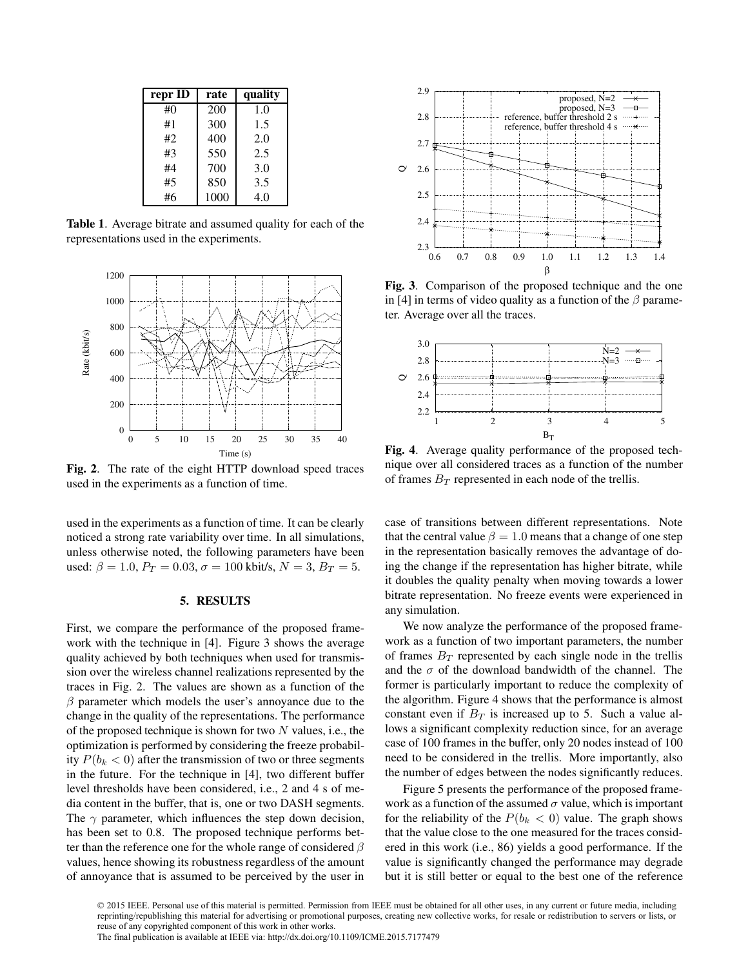| repr ID | rate | quality |
|---------|------|---------|
| #()     | 200  | 1.0     |
| #1      | 300  | 1.5     |
| #2      | 400  | 2.0     |
| #3      | 550  | 2.5     |
| #4      | 700  | 3.0     |
| #5      | 850  | 3.5     |
| #6      | 1000 | 4.0     |

Table 1. Average bitrate and assumed quality for each of the representations used in the experiments.



Fig. 2. The rate of the eight HTTP download speed traces used in the experiments as a function of time.

used in the experiments as a function of time. It can be clearly noticed a strong rate variability over time. In all simulations, unless otherwise noted, the following parameters have been used:  $\beta = 1.0$ ,  $P_T = 0.03$ ,  $\sigma = 100$  kbit/s,  $N = 3$ ,  $B_T = 5$ .

### 5. RESULTS

First, we compare the performance of the proposed framework with the technique in [4]. Figure 3 shows the average quality achieved by both techniques when used for transmission over the wireless channel realizations represented by the traces in Fig. 2. The values are shown as a function of the  $\beta$  parameter which models the user's annoyance due to the change in the quality of the representations. The performance of the proposed technique is shown for two  $N$  values, i.e., the optimization is performed by considering the freeze probability  $P(b_k < 0)$  after the transmission of two or three segments in the future. For the technique in [4], two different buffer level thresholds have been considered, i.e., 2 and 4 s of media content in the buffer, that is, one or two DASH segments. The  $\gamma$  parameter, which influences the step down decision, has been set to 0.8. The proposed technique performs better than the reference one for the whole range of considered  $\beta$ values, hence showing its robustness regardless of the amount of annoyance that is assumed to be perceived by the user in



Fig. 3. Comparison of the proposed technique and the one in [4] in terms of video quality as a function of the  $\beta$  parameter. Average over all the traces.



Fig. 4. Average quality performance of the proposed technique over all considered traces as a function of the number of frames  $B_T$  represented in each node of the trellis.

case of transitions between different representations. Note that the central value  $\beta = 1.0$  means that a change of one step in the representation basically removes the advantage of doing the change if the representation has higher bitrate, while it doubles the quality penalty when moving towards a lower bitrate representation. No freeze events were experienced in any simulation.

We now analyze the performance of the proposed framework as a function of two important parameters, the number of frames  $B_T$  represented by each single node in the trellis and the  $\sigma$  of the download bandwidth of the channel. The former is particularly important to reduce the complexity of the algorithm. Figure 4 shows that the performance is almost constant even if  $B_T$  is increased up to 5. Such a value allows a significant complexity reduction since, for an average case of 100 frames in the buffer, only 20 nodes instead of 100 need to be considered in the trellis. More importantly, also the number of edges between the nodes significantly reduces.

Figure 5 presents the performance of the proposed framework as a function of the assumed  $\sigma$  value, which is important for the reliability of the  $P(b_k < 0)$  value. The graph shows that the value close to the one measured for the traces considered in this work (i.e., 86) yields a good performance. If the value is significantly changed the performance may degrade but it is still better or equal to the best one of the reference